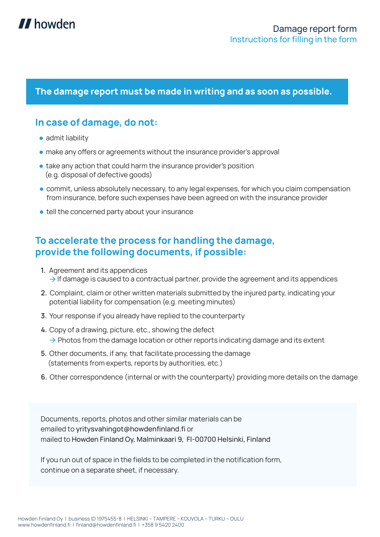

## **The damage report must be made in writing and as soon as possible.**

## **In case of damage, do not:**

- admit liability
- **make any offers or agreements without the insurance provider's approval**
- take any action that could harm the insurance provider's position (e.g. disposal of defective goods)
- commit, unless absolutely necessary, to any legal expenses, for which you claim compensation from insurance, before such expenses have been agreed on with the insurance provider
- tell the concerned party about your insurance

## **To accelerate the process for handling the damage, provide the following documents, if possible:**

- **1.** Agreement and its appendices  $\rightarrow$  If damage is caused to a contractual partner, provide the agreement and its appendices
- **2.** Complaint, claim or other written materials submitted by the injured party, indicating your potential liability for compensation (e.g. meeting minutes)
- **3.** Your response if you already have replied to the counterparty
- **4.** Copy of a drawing, picture, etc., showing the defect  $\rightarrow$  Photos from the damage location or other reports indicating damage and its extent
- **5.** Other documents, if any, that facilitate processing the damage (statements from experts, reports by authorities, etc.)
- **6.** Other correspondence (internal or with the counterparty) providing more details on the damage

Documents, reports, photos and other similar materials can be emailed to yritysvahingot@howdenfinland.fi or mailed to Howden Finland Oy, Malminkaari 9, FI-00700 Helsinki, Finland

If you run out of space in the fields to be completed in the notification form, continue on a separate sheet, if necessary.